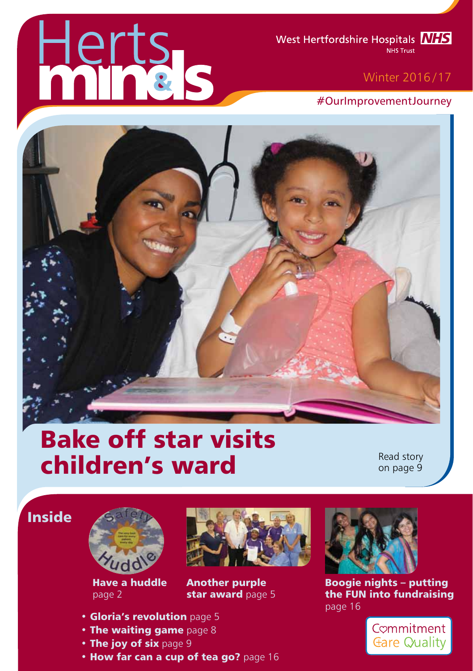# erts

West Hertfordshire Hospitals **NIS** NHS Trust

### Winter 2016 /17

#OurImprovementJourney



# Bake off star visits children's ward

Read story on page 9

## Inside



Have a huddle page 2



Another purple star award page 5

Boogie nights – putting the FUN into fundraising page 16



- Gloria's revolution page 5
- The waiting game page 8
- The joy of six page 9
- How far can a cup of tea go? page 16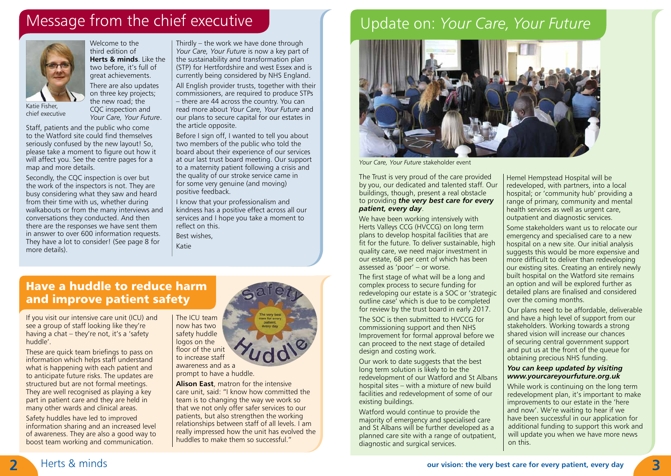# Message from the chief executive



Katie Fisher, chief executive

Welcome to the third edition of **Herts & minds**. Like the two before, it's full of great achievements. There are also updates on three key projects;

the new road; the CQC inspection and *Your Care, Your Future*.

Staff, patients and the public who come to the Watford site could find themselves seriously confused by the new layout! So, please take a moment to figure out how it will affect you. See the centre pages for a map and more details.

Secondly, the CQC inspection is over but the work of the inspectors is not. They are busy considering what they saw and heard from their time with us, whether during walkabouts or from the many interviews and conversations they conducted. And then there are the responses we have sent them in answer to over 600 information requests. They have a lot to consider! (See page 8 for more details).

Thirdly – the work we have done through *Your Care, Your Future* is now a key part of the sustainability and transformation plan (STP) for Hertfordshire and west Essex and is currently being considered by NHS England. All English provider trusts, together with their commissioners, are required to produce STPs – there are 44 across the country. You can read more about *Your Care, Your Future* and our plans to secure capital for our estates in the article opposite.

Before I sign off, I wanted to tell you about two members of the public who told the board about their experience of our services at our last trust board meeting. Our support to a maternity patient following a crisis and the quality of our stroke service came in for some very genuine (and moving) positive feedback.

I know that your professionalism and kindness has a positive effect across all our services and I hope you take a moment to reflect on this.

Best wishes,

Katie

# Have a huddle to reduce harm and improve patient safety

If you visit our intensive care unit (ICU) and see a group of staff looking like they're having a chat – they're not, it's a 'safety huddle'.

These are quick team briefings to pass on information which helps staff understand what is happening with each patient and to anticipate future risks. The updates are structured but are not formal meetings. They are well recognised as playing a key part in patient care and they are held in many other wards and clinical areas.

Safety huddles have led to improved information sharing and an increased level of awareness. They are also a good way to boost team working and communication.

now has two safety huddle logos on the floor of the unit to increase staff awareness and as a

The ICU team

prompt to have a huddle. **Alison East**, matron for the intensive

care unit, said: "I know how committed the team is to changing the way we work so that we not only offer safer services to our patients, but also strengthen the working relationships between staff of all levels. I am really impressed how the unit has evolved the huddles to make them so successful."

# Update on: *Your Care, Your Future*



*Your Care, Your Future* stakeholder event

The Trust is very proud of the care provided by you, our dedicated and talented staff. Our buildings, though, present a real obstacle to providing *the very best care for every patient, every day*.

We have been working intensively with Herts Valleys CCG (HVCCG) on long term plans to develop hospital facilities that are fit for the future. To deliver sustainable, high quality care, we need major investment in our estate, 68 per cent of which has been assessed as 'poor' – or worse.

The first stage of what will be a long and complex process to secure funding for redeveloping our estate is a SOC or 'strategic outline case' which is due to be completed for review by the trust board in early 2017.

The SOC is then submitted to HVCCG for commissioning support and then NHS Improvement for formal approval before we can proceed to the next stage of detailed design and costing work.

Our work to date suggests that the best long term solution is likely to be the redevelopment of our Watford and St Albans hospital sites – with a mixture of new build facilities and redevelopment of some of our existing buildings.

Watford would continue to provide the majority of emergency and specialised care and St Albans will be further developed as a planned care site with a range of outpatient, diagnostic and surgical services.

Hemel Hempstead Hospital will be redeveloped, with partners, into a local hospital; or 'community hub' providing a range of primary, community and mental health services as well as urgent care, outpatient and diagnostic services.

Some stakeholders want us to relocate our emergency and specialised care to a new hospital on a new site. Our initial analysis suggests this would be more expensive and more difficult to deliver than redeveloping our existing sites. Creating an entirely newly built hospital on the Watford site remains an option and will be explored further as detailed plans are finalised and considered over the coming months.

Our plans need to be affordable, deliverable and have a high level of support from our stakeholders. Working towards a strong shared vision will increase our chances of securing central government support and put us at the front of the queue for obtaining precious NHS funding.

### *You can keep updated by visiting www.yourcareyourfuture.org.uk*

While work is continuing on the long term redevelopment plan, it's important to make improvements to our estate in the 'here and now'. We're waiting to hear if we have been successful in our application for additional funding to support this work and will update you when we have more news on this.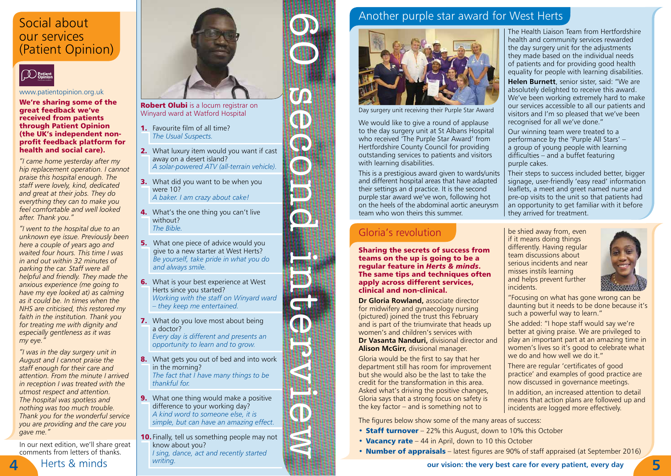# Social about our services (Patient Opinion)



### www.patientopinion.org.uk

We're sharing some of the great feedback we've received from patients through Patient Opinion (the UK's independent nonprofit feedback platform for health and social care).

*"I came home yesterday after my hip replacement operation. I cannot praise this hospital enough. The staff were lovely, kind, dedicated and great at their jobs. They do everything they can to make you feel comfortable and well looked after. Thank you."*

*"I went to the hospital due to an unknown eye issue. Previously been here a couple of years ago and waited four hours. This time I was in and out within 32 minutes of parking the car. Staff were all helpful and friendly. They made the anxious experience (me going to have my eye looked at) as calming as it could be. In times when the NHS are criticised, this restored my faith in the institution. Thank you for treating me with dignity and especially gentleness as it was my eye."*

*"I was in the day surgery unit in August and I cannot praise the staff enough for their care and attention. From the minute I arrived in reception I was treated with the utmost respect and attention. The hospital was spotless and nothing was too much trouble. Thank you for the wonderful service you are providing and the care you gave me."*

In our next edition, we'll share great comments from letters of thanks.



Robert Olubi is a locum registrar on Winyard ward at Watford Hospital

- 1. Favourite film of all time? *The Usual Suspects.*
- 2. What luxury item would you want if cast away on a desert island? *A solar-powered ATV (all-terrain vehicle).*
- **3.** What did you want to be when you were 10? *A baker. I am crazy about cake!*
- **4.** What's the one thing you can't live without? *The Bible.*
- **5.** What one piece of advice would you give to a new starter at West Herts? *Be yourself, take pride in what you do and always smile.*
- **6.** What is your best experience at West Herts since you started? *Working with the staff on Winyard ward – they keep me entertained.*
- **7.** What do you love most about being a doctor? *Every day is different and presents an opportunity to learn and to grow.*

40

冊

- 8. What gets you out of bed and into work in the morning? *The fact that I have many things to be thankful for.*
- **9.** What one thing would make a positive difference to your working day? *A kind word to someone else, it is simple, but can have an amazing effect.*
- **10.** Finally, tell us something people may not know about you? *I sing, dance, act and recently started writing.*





Day surgery unit receiving their Purple Star Award

We would like to give a round of applause to the day surgery unit at St Albans Hospital who received 'The Purple Star Award' from Hertfordshire County Council for providing outstanding services to patients and visitors with learning disabilities.

This is a prestigious award given to wards/units and different hospital areas that have adapted their settings an d practice. It is the second purple star award we've won, following hot on the heels of the abdominal aortic aneurysm team who won theirs this summer.

### Gloria's revolution

Sharing the secrets of success from teams on the up is going to be a regular feature in *Herts & minds*. The same tips and techniques often apply across different services, clinical and non-clinical.

**Dr Gloria Rowland,** associate director for midwifery and gynaecology nursing (pictured) joined the trust this February and is part of the triumvirate that heads up women's and children's services with **Dr Vasanta Nanduri,** divisional director and **Alison McGirr,** divisional manager.

Gloria would be the first to say that her department still has room for improvement but she would also be the last to take the credit for the transformation in this area. Asked what's driving the positive changes, Gloria says that a strong focus on safety is the key factor – and is something not to

The figures below show some of the many areas of success:

- Staff turnover 22% this August, down to 10% this October
- Vacancy rate 44 in April, down to 10 this October
- **Number of appraisals** latest figures are 90% of staff appraised (at September 2016)

The Health Liaison Team from Hertfordshire health and community services rewarded the day surgery unit for the adjustments they made based on the individual needs of patients and for providing good health equality for people with learning disabilities.

**Helen Burnett**, senior sister, said: "We are absolutely delighted to receive this award. We've been working extremely hard to make our services accessible to all our patients and visitors and I'm so pleased that we've been recognised for all we've done."

Our winning team were treated to a performance by the 'Purple All Stars' – a group of young people with learning difficulties – and a buffet featuring purple cakes.

Their steps to success included better, bigger signage, user-friendly 'easy read' information leaflets, a meet and greet named nurse and pre-op visits to the unit so that patients had an opportunity to get familiar with it before they arrived for treatment.

be shied away from, even if it means doing things differently. Having regular team discussions about serious incidents and near misses instils learning and helps prevent further incidents.



"Focusing on what has gone wrong can be daunting but it needs to be done because it's such a powerful way to learn."

She added: "I hope staff would say we're better at giving praise. We are privileged to play an important part at an amazing time in women's lives so it's good to celebrate what we do and how well we do it."

There are regular 'certificates of good practice' and examples of good practice are now discussed in governance meetings.

In addition, an increased attention to detail means that action plans are followed up and incidents are logged more effectively.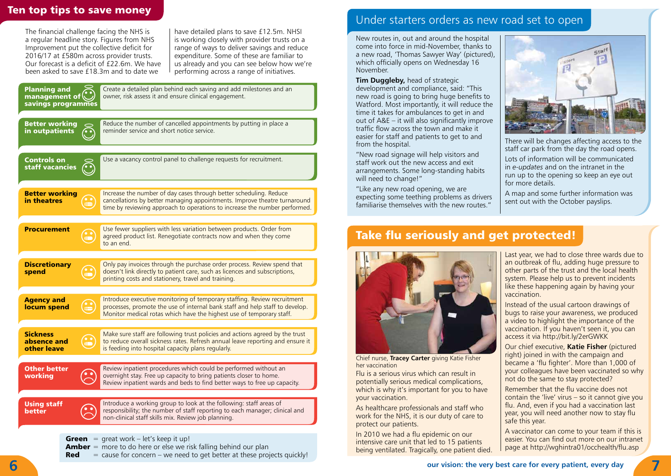The financial challenge facing the NHS is a regular headline story. Figures from NHS Improvement put the collective deficit for 2016/17 at £580m across provider trusts. Our forecast is a deficit of £22.6m. We have been asked to save £18.3m and to date we

have detailed plans to save £12.5m. NHSI is working closely with provider trusts on a range of ways to deliver savings and reduce expenditure. Some of these are familiar to us already and you can see below how we're performing across a range of initiatives.

| <b>Planning and</b><br>management of<br>savings programmes |   | Create a detailed plan behind each saving and add milestones and an<br>owner, risk assess it and ensure clinical engagement.                                                                                                     |
|------------------------------------------------------------|---|----------------------------------------------------------------------------------------------------------------------------------------------------------------------------------------------------------------------------------|
| <b>Better working</b><br>in outpatients                    |   | Reduce the number of cancelled appointments by putting in place a<br>reminder service and short notice service.                                                                                                                  |
| Controls on<br>staff vacancies                             |   | Use a vacancy control panel to challenge requests for recruitment.                                                                                                                                                               |
| <b>Better working</b><br>in theatres                       | m | Increase the number of day cases through better scheduling. Reduce<br>cancellations by better managing appointments. Improve theatre turnaround<br>time by reviewing approach to operations to increase the number performed.    |
| <b>Procurement</b>                                         |   | Use fewer suppliers with less variation between products. Order from<br>agreed product list. Renegotiate contracts now and when they come<br>to an end.                                                                          |
| <b>Discretionary</b><br>spend                              |   | Only pay invoices through the purchase order process. Review spend that<br>doesn't link directly to patient care, such as licences and subscriptions,<br>printing costs and stationery, travel and training.                     |
| <b>Agency and</b><br>locum spend                           |   | Introduce executive monitoring of temporary staffing. Review recruitment<br>processes, promote the use of internal bank staff and help staff to develop.<br>Monitor medical rotas which have the highest use of temporary staff. |
| <b>Sickness</b><br>absence and<br>other leave              |   | Make sure staff are following trust policies and actions agreed by the trust<br>to reduce overall sickness rates. Refresh annual leave reporting and ensure it<br>is feeding into hospital capacity plans regularly.             |
| Other better<br>working                                    |   | Review inpatient procedures which could be performed without an<br>overnight stay. Free up capacity to bring patients closer to home.<br>Review inpatient wards and beds to find better ways to free up capacity.                |
| <b>Using staff</b><br>better                               |   | Introduce a working group to look at the following: staff areas of<br>responsibility; the number of staff reporting to each manager; clinical and<br>non-clinical staff skills mix. Review job planning.                         |

**Green** = great work – let's keep it up!

**Amber** = more to do here or else we risk falling behind our plan

**Red**  $=$  cause for concern – we need to get better at these projects quickly!

# Ten top tips to save money<br>
Ten top tips to save money<br>
Under starters orders as new road set to open

New routes in, out and around the hospital come into force in mid-November, thanks to a new road, 'Thomas Sawyer Way' (pictured), which officially opens on Wednesday 16 November.

**Tim Duggleby,** head of strategic development and compliance, said: "This

new road is going to bring huge benefits to Watford. Most importantly, it will reduce the time it takes for ambulances to get in and out of A&E – it will also significantly improve traffic flow across the town and make it easier for staff and patients to get to and from the hospital.

"New road signage will help visitors and staff work out the new access and exit arrangements. Some long-standing habits will need to change!"

"Like any new road opening, we are expecting some teething problems as drivers familiarise themselves with the new routes."



There will be changes affecting access to the staff car park from the day the road opens.

Lots of information will be communicated in *e-updates* and on the intranet in the run up to the opening so keep an eye out for more details.

A map and some further information was sent out with the October payslips.

# Take flu seriously and get protected!



Chief nurse, **Tracey Carter** giving Katie Fisher her vaccination

Flu is a serious virus which can result in potentially serious medical complications, which is why it's important for you to have your vaccination.

As healthcare professionals and staff who work for the NHS, it is our duty of care to protect our patients.

In 2010 we had a flu epidemic on our intensive care unit that led to 15 patients being ventilated. Tragically, one patient died.

Last year, we had to close three wards due to an outbreak of flu, adding huge pressure to other parts of the trust and the local health system. Please help us to prevent incidents like these happening again by having your vaccination.

Instead of the usual cartoon drawings of bugs to raise your awareness, we produced a video to highlight the importance of the vaccination. If you haven't seen it, you can access it via http://bit.ly/2erGWKK

Our chief executive, **Katie Fisher** (pictured right) joined in with the campaign and became a 'flu fighter'. More than 1,000 of your colleagues have been vaccinated so why not do the same to stay protected?

Remember that the flu vaccine does not contain the 'live' virus – so it cannot give you flu. And, even if you had a vaccination last year, you will need another now to stay flu safe this year.

A vaccinator can come to your team if this is easier. You can find out more on our intranet page at http://wghintra01/occhealth/flu.asp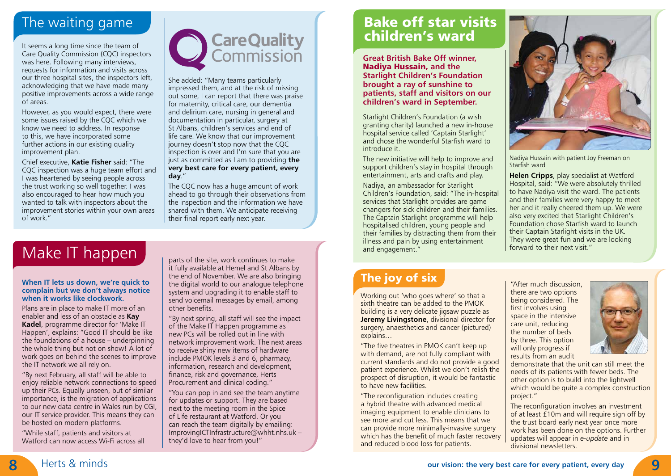# The waiting game

It seems a long time since the team of Care Quality Commission (CQC) inspectors was here. Following many interviews, requests for information and visits across our three hospital sites, the inspectors left, acknowledging that we have made many positive improvements across a wide range of areas.

However, as you would expect, there were some issues raised by the CQC which we know we need to address. In response to this, we have incorporated some further actions in our existing quality improvement plan.

Chief executive, **Katie Fisher** said: "The CQC inspection was a huge team effort and I was heartened by seeing people across the trust working so well together. I was also encouraged to hear how much you wanted to talk with inspectors about the improvement stories within your own areas of work."



She added: "Many teams particularly impressed them, and at the risk of missing out some, I can report that there was praise for maternity, critical care, our dementia and delirium care, nursing in general and documentation in particular, surgery at St Albans, children's services and end of life care. We know that our improvement journey doesn't stop now that the CQC inspection is over and I'm sure that you are just as committed as I am to providing **the very best care for every patient, every day**."

The CQC now has a huge amount of work ahead to go through their observations from the inspection and the information we have shared with them. We anticipate receiving their final report early next year.

# Bake off star visits children's ward

**Great British Bake Off winner,**  Nadiya Hussain, **and the Starlight Children's Foundation brought a ray of sunshine to patients, staff and visitors on our children's ward in September.**

Starlight Children's Foundation (a wish granting charity) launched a new in-house hospital service called 'Captain Starlight' and chose the wonderful Starfish ward to introduce it.

The new initiative will help to improve and support children's stay in hospital through entertainment, arts and crafts and play.

Nadiya, an ambassador for Starlight Children's Foundation, said: "The in-hospital services that Starlight provides are game changers for sick children and their families. The Captain Starlight programme will help hospitalised children, young people and their families by distracting them from their illness and pain by using entertainment and engagement."



Nadiya Hussain with patient Joy Freeman on Starfish ward

**Helen Cripps**, play specialist at Watford Hospital, said: "We were absolutely thrilled to have Nadiya visit the ward. The patients and their families were very happy to meet her and it really cheered them up. We were also very excited that Starlight Children's Foundation chose Starfish ward to launch their Captain Starlight visits in the UK. They were great fun and we are looking forward to their next visit."

# The joy of six

Working out 'who goes where' so that a sixth theatre can be added to the PMOK building is a very delicate jigsaw puzzle as **Jeremy Livingstone**, divisional director for surgery, anaesthetics and cancer (pictured) explains…

"The five theatres in PMOK can't keep up with demand, are not fully compliant with current standards and do not provide a good patient experience. Whilst we don't relish the prospect of disruption, it would be fantastic to have new facilities.

"The reconfiguration includes creating a hybrid theatre with advanced medical imaging equipment to enable clinicians to see more and cut less. This means that we can provide more minimally-invasive surgery which has the benefit of much faster recovery and reduced blood loss for patients.

"After much discussion, there are two options being considered. The first involves using space in the intensive care unit, reducing the number of beds by three. This option will only progress if results from an audit



demonstrate that the unit can still meet the needs of its patients with fewer beds. The other option is to build into the lightwell which would be quite a complex construction project."

The reconfiguration involves an investment of at least £10m and will require sign off by the trust board early next year once more work has been done on the options. Further updates will appear in *e-update* and in divisional newsletters.

# Make IT happen

### **When IT lets us down, we're quick to complain but we don't always notice when it works like clockwork.**

Plans are in place to make IT more of an enabler and less of an obstacle as **Kay Kadel**, programme director for 'Make IT Happen', explains: "Good IT should be like the foundations of a house – underpinning the whole thing but not on show! A lot of work goes on behind the scenes to improve the IT network we all rely on.

"By next February, all staff will be able to enjoy reliable network connections to speed up their PCs. Equally unseen, but of similar importance, is the migration of applications to our new data centre in Wales run by CGI, our IT service provider. This means they can be hosted on modern platforms.

"While staff, patients and visitors at Watford can now access Wi-Fi across all

parts of the site, work continues to make it fully available at Hemel and St Albans by the end of November. We are also bringing the digital world to our analogue telephone system and upgrading it to enable staff to send voicemail messages by email, among other benefits.

"By next spring, all staff will see the impact of the Make IT Happen programme as new PCs will be rolled out in line with network improvement work. The next areas to receive shiny new items of hardware include PMOK levels 3 and 6, pharmacy, information, research and development, finance, risk and governance, Herts Procurement and clinical coding."

"You can pop in and see the team anytime for updates or support. They are based next to the meeting room in the Spice of Life restaurant at Watford. Or you can reach the team digitally by emailing: ImprovingICTInfrastructure@whht.nhs.uk – they'd love to hear from you!"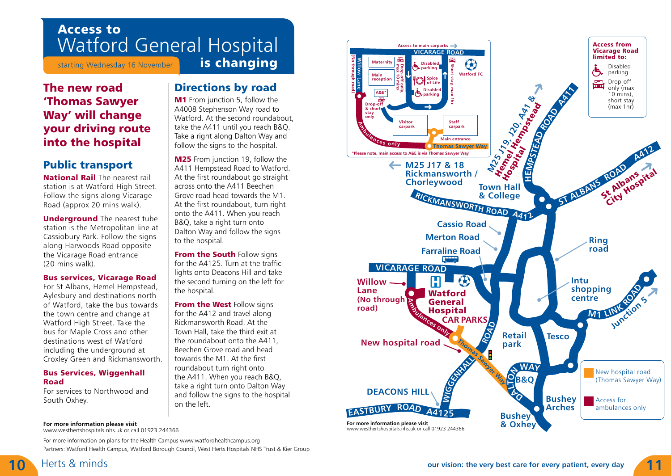# Access to Watford General Hospital

starting Wednesday 16 November

Directions by road **M1** From junction 5, follow the A4008 Stephenson Way road to Watford. At the second roundabout, take the A411 until you reach B&Q. Take a right along Dalton Way and follow the signs to the hospital. M25 From junction 19, follow the A411 Hempstead Road to Watford. At the first roundabout go straight across onto the A411 Beechen Grove road head towards the M1. At the first roundabout, turn right onto the A411. When you reach B&Q, take a right turn onto Dalton Way and follow the signs

to the hospital.

the hospital.

**From the South Follow signs** for the A4125. Turn at the traffic lights onto Deacons Hill and take the second turning on the left for

From the West Follow signs for the A412 and travel along Rickmansworth Road. At the Town Hall, take the third exit at the roundabout onto the A411, Beechen Grove road and head towards the M1. At the first roundabout turn right onto the A411. When you reach B&Q, take a right turn onto Dalton Way and follow the signs to the hospital

# The new road 'Thomas Sawyer Way' will change your driving route into the hospital

# Public transport

National Rail The nearest rail station is at Watford High Street. Follow the signs along Vicarage Road (approx 20 mins walk).

**Underground** The nearest tube station is the Metropolitan line at Cassiobury Park. Follow the signs along Harwoods Road opposite the Vicarage Road entrance (20 mins walk).

### Bus services, Vicarage Road

For St Albans, Hemel Hempstead, Aylesbury and destinations north of Watford, take the bus towards the town centre and change at Watford High Street. Take the bus for Maple Cross and other destinations west of Watford including the underground at Croxley Green and Rickmansworth.

### **Bus Services, Wiggenhall** Road

For services to Northwood and South Oxhey.

### **For more information please visit**

www.westhertshospitals.nhs.uk or call 01923 244366

For more information on plans for the Health Campus www.watfordhealthcampus.org Partners: Watford Health Campus, Watford Borough Council, West Herts Hospitals NHS Trust & Kier Group

on the left.

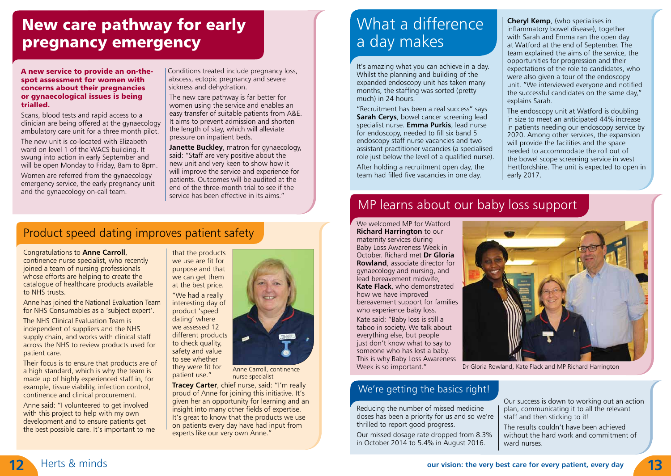# New care pathway for early pregnancy emergency

A new service to provide an on-thespot assessment for women with concerns about their pregnancies or gynaecological issues is being trialled.

Scans, blood tests and rapid access to a clinician are being offered at the gynaecology ambulatory care unit for a three month pilot.

The new unit is co-located with Elizabeth ward on level 1 of the WACS building. It swung into action in early September and will be open Monday to Friday, 8am to 8pm.

Women are referred from the gynaecology emergency service, the early pregnancy unit and the gynaecology on-call team.

Conditions treated include pregnancy loss, abscess, ectopic pregnancy and severe sickness and dehydration.

The new care pathway is far better for women using the service and enables an easy transfer of suitable patients from A&E. It aims to prevent admission and shorten the length of stay, which will alleviate pressure on inpatient beds.

**Janette Buckley**, matron for gynaecology, said: "Staff are very positive about the new unit and very keen to show how it will improve the service and experience for patients. Outcomes will be audited at the end of the three-month trial to see if the service has been effective in its aims."

# What a difference a day makes

It's amazing what you can achieve in a day. Whilst the planning and building of the expanded endoscopy unit has taken many months, the staffing was sorted (pretty much) in 24 hours.

"Recruitment has been a real success" says **Sarah Cerys**, bowel cancer screening lead specialist nurse. **Emma Purkis**, lead nurse for endoscopy, needed to fill six band 5 endoscopy staff nurse vacancies and two assistant practitioner vacancies (a specialised role just below the level of a qualified nurse). After holding a recruitment open day, the team had filled five vacancies in one day.

**Cheryl Kemp**, (who specialises in inflammatory bowel disease), together with Sarah and Emma ran the open day at Watford at the end of September. The team explained the aims of the service, the opportunities for progression and their expectations of the role to candidates, who were also given a tour of the endoscopy unit. "We interviewed everyone and notified the successful candidates on the same day," explains Sarah.

The endoscopy unit at Watford is doubling in size to meet an anticipated 44% increase in patients needing our endoscopy service by 2020. Among other services, the expansion will provide the facilities and the space needed to accommodate the roll out of the bowel scope screening service in west Hertfordshire. The unit is expected to open in early 2017.

# MP learns about our baby loss support

We welcomed MP for Watford **Richard Harrington** to our maternity services during Baby Loss Awareness Week in October. Richard met **Dr Gloria Rowland**, associate director for gynaecology and nursing, and lead bereavement midwife, **Kate Flack**, who demonstrated how we have improved bereavement support for families who experience baby loss. Kate said: "Baby loss is still a taboo in society. We talk about everything else, but people just don't know what to say to someone who has lost a baby. This is why Baby Loss Awareness Week is so important."



Dr Gloria Rowland, Kate Flack and MP Richard Harrington

### We're getting the basics right!

Reducing the number of missed medicine doses has been a priority for us and so we're thrilled to report good progress.

Our missed dosage rate dropped from 8.3% in October 2014 to 5.4% in August 2016.

Our success is down to working out an action plan, communicating it to all the relevant staff and then sticking to it!

The results couldn't have been achieved without the hard work and commitment of ward nurses.

# Product speed dating improves patient safety

Congratulations to **Anne Carroll**,

continence nurse specialist, who recently joined a team of nursing professionals whose efforts are helping to create the catalogue of healthcare products available to NHS trusts.

Anne has joined the National Evaluation Team for NHS Consumables as a 'subject expert'.

The NHS Clinical Evaluation Team is independent of suppliers and the NHS supply chain, and works with clinical staff across the NHS to review products used for patient care.

Their focus is to ensure that products are of a high standard, which is why the team is made up of highly experienced staff in, for example, tissue viability, infection control, continence and clinical procurement.

Anne said: "I volunteered to get involved with this project to help with my own development and to ensure patients get the best possible care. It's important to me



Anne Carroll, continence nurse specialist

**Tracey Carter**, chief nurse, said: "I'm really proud of Anne for joining this initiative. It's given her an opportunity for learning and an insight into many other fields of expertise. It's great to know that the products we use on patients every day have had input from experts like our very own Anne."

dating' where

patient use."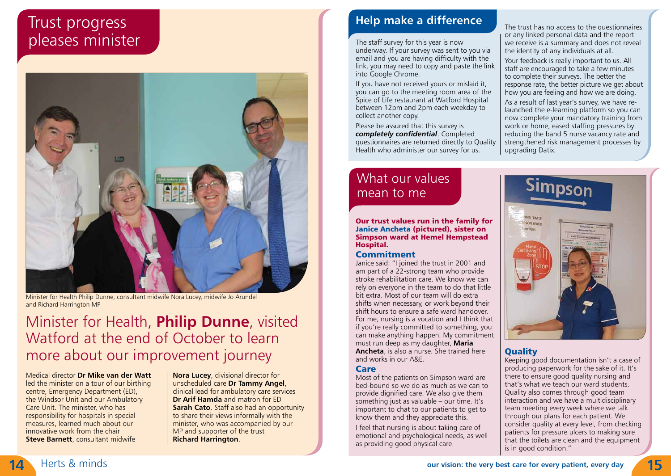# Trust progress pleases minister



Minister for Health Philip Dunne, consultant midwife Nora Lucey, midwife Jo Arundel and Richard Harrington MP

# Minister for Health, **Philip Dunne**, visited Watford at the end of October to learn more about our improvement journey

Medical director **Dr Mike van der Watt** led the minister on a tour of our birthing centre, Emergency Department (ED), the Windsor Unit and our Ambulatory Care Unit. The minister, who has responsibility for hospitals in special measures, learned much about our innovative work from the chair **Steve Barnett**, consultant midwife

**Nora Lucey**, divisional director for unscheduled care **Dr Tammy Angel**, clinical lead for ambulatory care services **Dr Arif Hamda** and matron for ED **Sarah Cato**. Staff also had an opportunity to share their views informally with the minister, who was accompanied by our MP and supporter of the trust **Richard Harrington**.

# **Help make a difference**

The staff survey for this year is now underway. If your survey was sent to you via email and you are having difficulty with the link, you may need to copy and paste the link into Google Chrome.

If you have not received yours or mislaid it, you can go to the meeting room area of the Spice of Life restaurant at Watford Hospital between 12pm and 2pm each weekday to collect another copy.

Please be assured that this survey is *completely confidential*. Completed questionnaires are returned directly to Quality Health who administer our survey for us.

# What our values mean to me

Our trust values run in the family for Janice Ancheta (pictured), sister on Simpson ward at Hemel Hempstead Hospital.

### Commitment

Janice said: "I joined the trust in 2001 and am part of a 22-strong team who provide stroke rehabilitation care. We know we can rely on everyone in the team to do that little bit extra. Most of our team will do extra shifts when necessary, or work beyond their shift hours to ensure a safe ward handover. For me, nursing is a vocation and I think that if you're really committed to something, you can make anything happen. My commitment must run deep as my daughter, **Maria Ancheta**, is also a nurse. She trained here and works in our A&E.

### Care

Most of the patients on Simpson ward are bed-bound so we do as much as we can to provide dignified care. We also give them something just as valuable – our time. It's important to chat to our patients to get to know them and they appreciate this.

I feel that nursing is about taking care of emotional and psychological needs, as well as providing good physical care.

The trust has no access to the questionnaires or any linked personal data and the report we receive is a summary and does not reveal the identity of any individuals at all.

Your feedback is really important to us. All staff are encouraged to take a few minutes to complete their surveys. The better the response rate, the better picture we get about how you are feeling and how we are doing. As a result of last year's survey, we have re-

launched the e-learning platform so you can now complete your mandatory training from work or home, eased staffing pressures by reducing the band 5 nurse vacancy rate and strengthened risk management processes by upgrading Datix.



### **Ouality**

Keeping good documentation isn't a case of producing paperwork for the sake of it. It's there to ensure good quality nursing and that's what we teach our ward students. Quality also comes through good team interaction and we have a multidisciplinary team meeting every week where we talk through our plans for each patient. We consider quality at every level, from checking patients for pressure ulcers to making sure that the toilets are clean and the equipment is in good condition."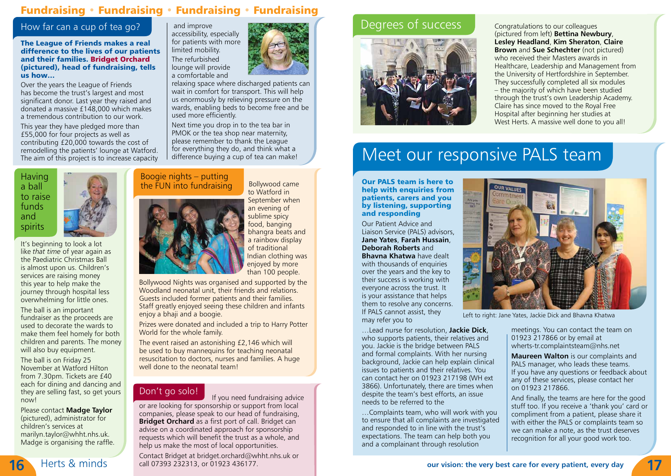### Fundraising • Fundraising • Fundraising • Fundraising

### How far can a cup of tea go?

The League of Friends makes a real difference to the lives of our patients and their families. Bridget Orchard (pictured), head of fundraising, tells us how…

Over the years the League of Friends has become the trust's largest and most significant donor. Last year they raised and donated a massive £148,000 which makes a tremendous contribution to our work. This year they have pledged more than £55,000 for four projects as well as contributing £20,000 towards the cost of remodelling the patients' lounge at Watford. The aim of this project is to increase capacity

**Having** a ball to raise funds and spirits



It's beginning to look a lot like *that time* of year again as the Paediatric Christmas Ball is almost upon us. Children's services are raising money this year to help make the journey through hospital less overwhelming for little ones.

The ball is an important fundraiser as the proceeds are used to decorate the wards to make them feel homely for both children and parents. The money will also buy equipment.

The ball is on Friday 25 November at Watford Hilton from 7.30pm. Tickets are £40 each for dining and dancing and they are selling fast, so get yours now!

Please contact **Madge Taylor**  (pictured), administrator for children's services at marilyn.taylor@whht.nhs.uk. Madge is organising the raffle.

 and improve accessibility, especially for patients with more limited mobility. The refurbished lounge will provide a comfortable and



relaxing space where discharged patients can wait in comfort for transport. This will help us enormously by relieving pressure on the wards, enabling beds to become free and be used more efficiently.

Next time you drop in to the tea bar in PMOK or the tea shop near maternity, please remember to thank the League for everything they do, and think what a difference buying a cup of tea can make!

### Boogie nights – putting the  $FUN$  into fundraising  $Bollywood came$



to Watford in September when an evening of sublime spicy food, banging bhangra beats and a rainbow display of traditional Indian clothing was enjoyed by more than 100 people.

Bollywood Nights was organised and supported by the Woodland neonatal unit, their friends and relations. Guests included former patients and their families. Staff greatly enjoyed seeing these children and infants enjoy a bhaji and a boogie.

Prizes were donated and included a trip to Harry Potter World for the whole family.

The event raised an astonishing £2,146 which will be used to buy mannequins for teaching neonatal resuscitation to doctors, nurses and families. A huge well done to the neonatal team!

### Don't go solo!

If you need fundraising advice or are looking for sponsorship or support from local companies, please speak to our head of fundraising, **Bridget Orchard** as a first port of call. Bridget can advise on a coordinated approach for sponsorship requests which will benefit the trust as a whole, and help us make the most of local opportunities.

Contact Bridget at bridget.orchard@whht.nhs.uk or call 07393 232313. or 01923 436177. **16** Herts & minds call 07393 232313, or 01923 436177.

### Degrees of success Congratulations to our colleagues



(pictured from left) **Bettina Newbury**, **Lesley Headland**, **Kim Sheraton**, **Claire Brown** and **Sue Schechter** (not pictured) who received their Masters awards in Healthcare, Leadership and Management from the University of Hertfordshire in September. They successfully completed all six modules – the majority of which have been studied through the trust's own Leadership Academy. Claire has since moved to the Royal Free Hospital after beginning her studies at West Herts. A massive well done to you all!

# Meet our responsive PALS team

Our PALS team is here to help with enquiries from patients, carers and you by listening, supporting and responding

Our Patient Advice and Liaison Service (PALS) advisors, **Jane Yates**, **Farah Hussain**, **Deborah Roberts** and **Bhavna Khatwa** have dealt with thousands of enquiries over the years and the key to their success is working with everyone across the trust. It is your assistance that helps them to resolve any concerns. If PALS cannot assist, they may refer you to

needs to be referred to the

…Lead nurse for resolution, **Jackie Dick**, who supports patients, their relatives and you. Jackie is the bridge between PALS and formal complaints. With her nursing background, Jackie can help explain clinical issues to patients and their relatives. You can contact her on 01923 217198 (WH ext 3866). Unfortunately, there are times when despite the team's best efforts, an issue

…Complaints team, who will work with you to ensure that all complaints are investigated and responded to in line with the trust's expectations. The team can help both you and a complainant through resolution



Left to right: Jane Yates, Jackie Dick and Bhavna Khatwa

meetings. You can contact the team on 01923 217866 or by email at wherts-tr.complaintsteam@nhs.net

**Maureen Walton** is our complaints and PALS manager, who leads these teams. If you have any questions or feedback about any of these services, please contact her on 01923 217866.

And finally, the teams are here for the good stuff too. If you receive a 'thank you' card or compliment from a patient, please share it with either the PALS or complaints team so we can make a note, as the trust deserves recognition for all your good work too.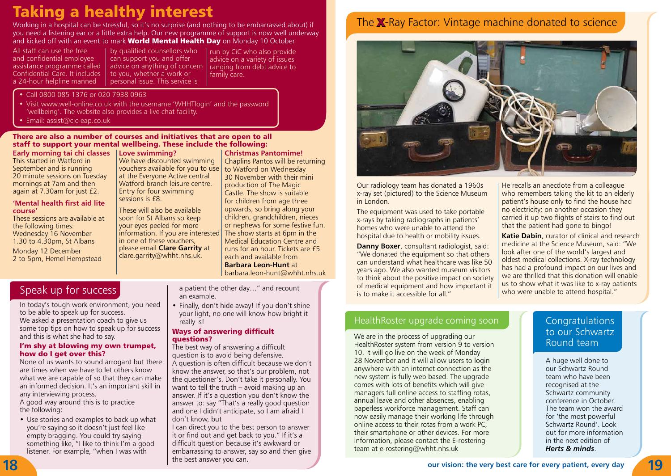# Taking a healthy interest

Working in a hospital can be stressful, so it's no surprise (and nothing to be embarrassed about) if you need a listening ear or a little extra help. Our new programme of support is now well underway and kicked off with an event to mark **World Mental Health Day** on Monday 10 October.

All staff can use the free and confidential employee assistance programme called Confidential Care. It includes a 24-hour helpline manned

by qualified counsellors who can support you and offer advice on anything of concern to you, whether a work or personal issue. This service is

run by CiC who also provide advice on a variety of issues ranging from debt advice to family care.

• Call 0800 085 1376 or 020 7938 0963

• Visit www.well-online.co.uk with the username 'WHHTlogin' and the password 'wellbeing'. The website also provides a live chat facility.

• Email:  $assist@cic-eap.co.uk$ 

There are also a number of courses and initiatives that are open to all staff to support your mental wellbeing. These include the following:

sessions is £8.

**Early morning tai chi classes** This started in Watford in September and is running 20 minute sessions on Tuesday mornings at 7am and then again at 7.30am for just £2.

### **'Mental health first aid lite course'**

These sessions are available at the following times: Wednesday 16 November 1.30 to 4.30pm, St Albans Monday 12 December 2 to 5pm, Hemel Hempstead

**Love swimming?** We have discounted swimming vouchers available for you to use at the Everyone Active central Watford branch leisure centre. Entry for four swimming

These will also be available soon for St Albans so keep your eyes peeled for more information. If you are interested in one of these vouchers, please email **Clare Garrity** at clare.garrity@whht.nhs.uk.

**Christmas Pantomime!** Chaplins Pantos will be returning to Watford on Wednesday 30 November with their mini production of The Magic Castle. The show is suitable for children from age three upwards, so bring along your children, grandchildren, nieces or nephews for some festive fun. The show starts at 6pm in the Medical Education Centre and runs for an hour. Tickets are £5 each and available from **Barbara Leon-Hunt** at barbara.leon-hunt@whht.nhs.uk

In today's tough work environment, you need to be able to speak up for success. We asked a presentation coach to give us some top tips on how to speak up for success and this is what she had to say.

### I'm shy at blowing my own trumpet, how do I get over this?

None of us wants to sound arrogant but there are times when we have to let others know what we are capable of so that they can make an informed decision. It's an important skill in any interviewing process.

A good way around this is to practice the following:

• Use stories and examples to back up what you're saying so it doesn't just feel like empty bragging. You could try saying something like, "I like to think I'm a good listener. For example, "when I was with

a patient the other day…" and recount an example.

• Finally, don't hide away! If you don't shine your light, no one will know how bright it really is!

### Ways of answering difficult questions?

The best way of answering a difficult question is to avoid being defensive. A question is often difficult because we don't know the answer, so that's our problem, not the questioner's. Don't take it personally. You want to tell the truth – avoid making up an answer. If it's a question you don't know the answer to: say "That's a really good question and one I didn't anticipate, so I am afraid I don't know, but

I can direct you to the best person to answer it or find out and get back to you." If it's a difficult question because it's awkward or embarrassing to answer, say so and then give the best answer you can.

# The **X**-Ray Factor: Vintage machine donated to science



Our radiology team has donated a 1960s x-ray set (pictured) to the Science Museum in London.

The equipment was used to take portable x-rays by taking radiographs in patients' homes who were unable to attend the hospital due to health or mobility issues.

**Danny Boxer**, consultant radiologist, said: "We donated the equipment so that others can understand what healthcare was like 50 years ago. We also wanted museum visitors to think about the positive impact on society Speak up for success and the other day..." and recount of medical equipment and how important it as to show what it was like to x-ray patients of medical equipment and how important it is to show what it was like to x-ray is to make it accessible for all."

### He recalls an anecdote from a colleague who remembers taking the kit to an elderly patient's house only to find the house had no electricity; on another occasion they carried it up two flights of stairs to find out that the patient had gone to bingo!

**Katie Dabin**, curator of clinical and research medicine at the Science Museum, said: "We look after one of the world's largest and oldest medical collections. X-ray technology has had a profound impact on our lives and we are thrilled that this donation will enable

### HealthRoster upgrade coming soon **Congratulations**

We are in the process of upgrading our<br>
HealthRoster system from version 9 to version<br>
HealthRoster system from version 9 to version 10. It will go live on the week of Monday 28 November and it will allow users to login anywhere with an internet connection as the new system is fully web based. The upgrade comes with lots of benefits which will give managers full online access to staffing rotas, annual leave and other absences, enabling paperless workforce management. Staff can now easily manage their working life through online access to their rotas from a work PC, their smartphone or other devices. For more information, please contact the E-rostering team at e-rostering@whht.nhs.uk

# to our Schwartz

A huge well done to our Schwartz Round team who have been recognised at the Schwartz community conference in October. The team won the award for 'the most powerful Schwartz Round'. Look out for more information in the next edition of *Herts & minds*.